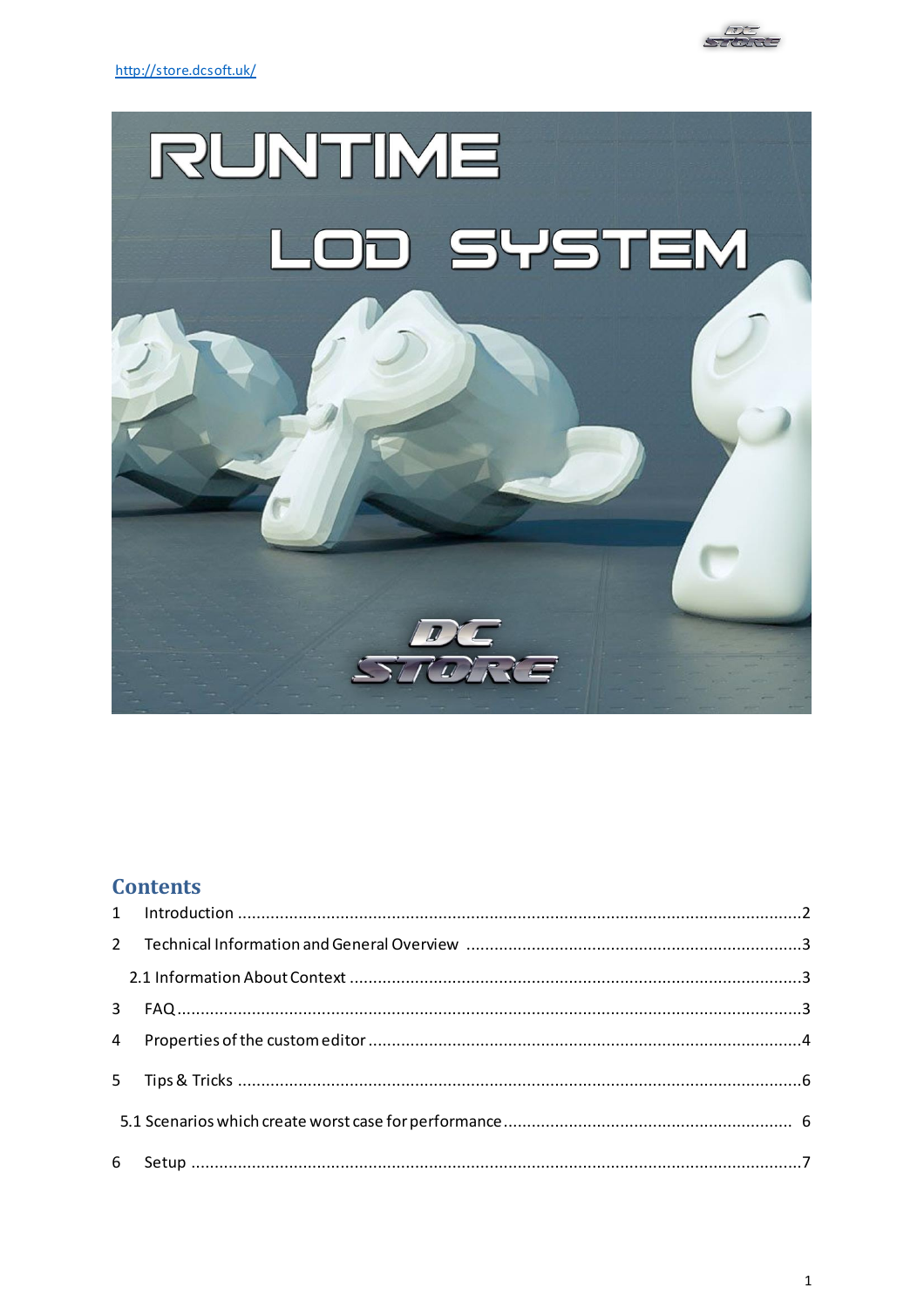





## **Contents**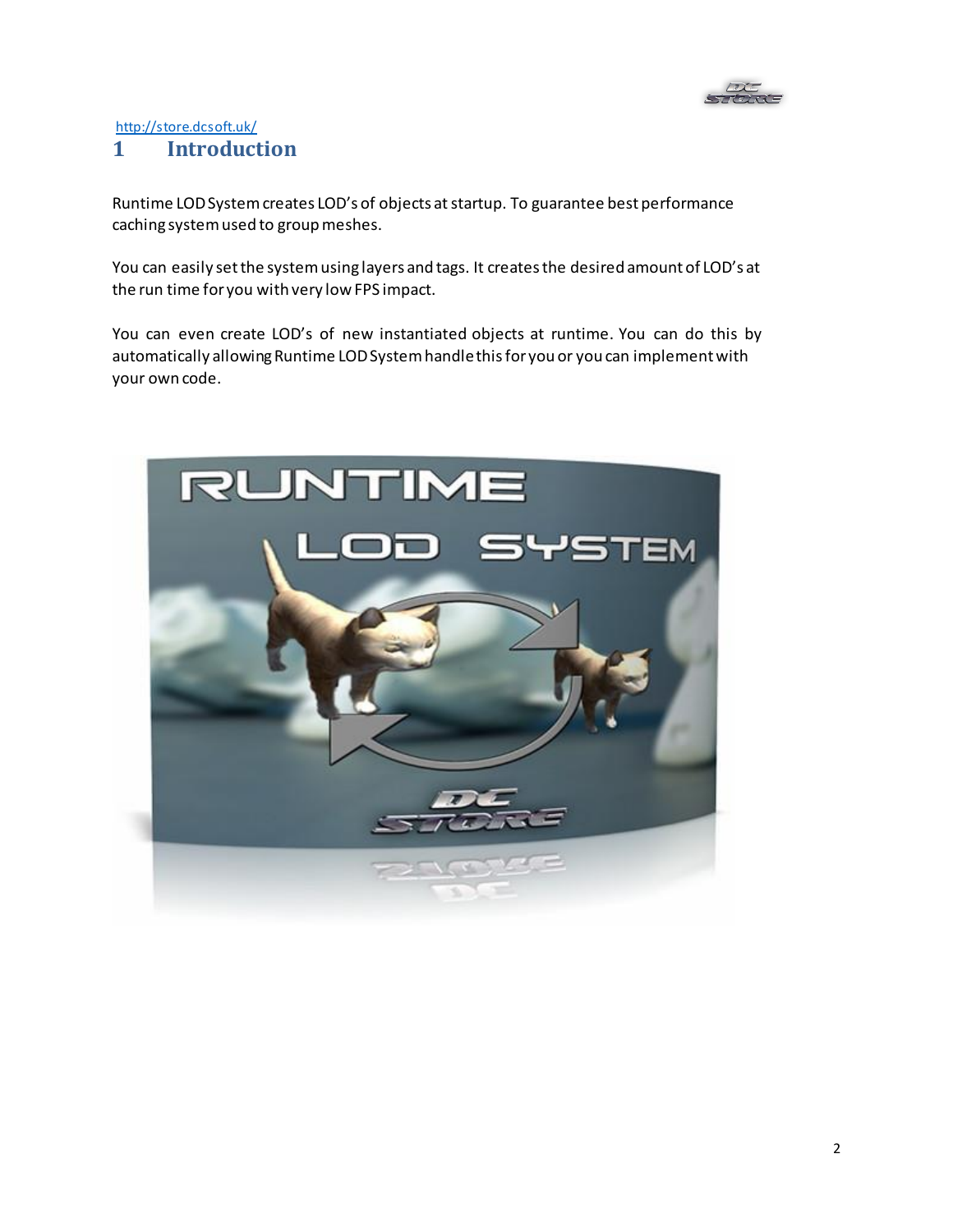

## <http://store.dcsoft.uk/> **1 Introduction**

<span id="page-1-0"></span>Runtime LOD System creates LOD's of objects at startup. To guarantee best performance caching system used to group meshes.

You can easily set the system using layers and tags. It creates the desired amount of LOD's at the run time for you with very low FPS impact.

You can even create LOD's of new instantiated objects at runtime. You can do this by automatically allowing Runtime LOD System handle this for you or you can implement with your own code.

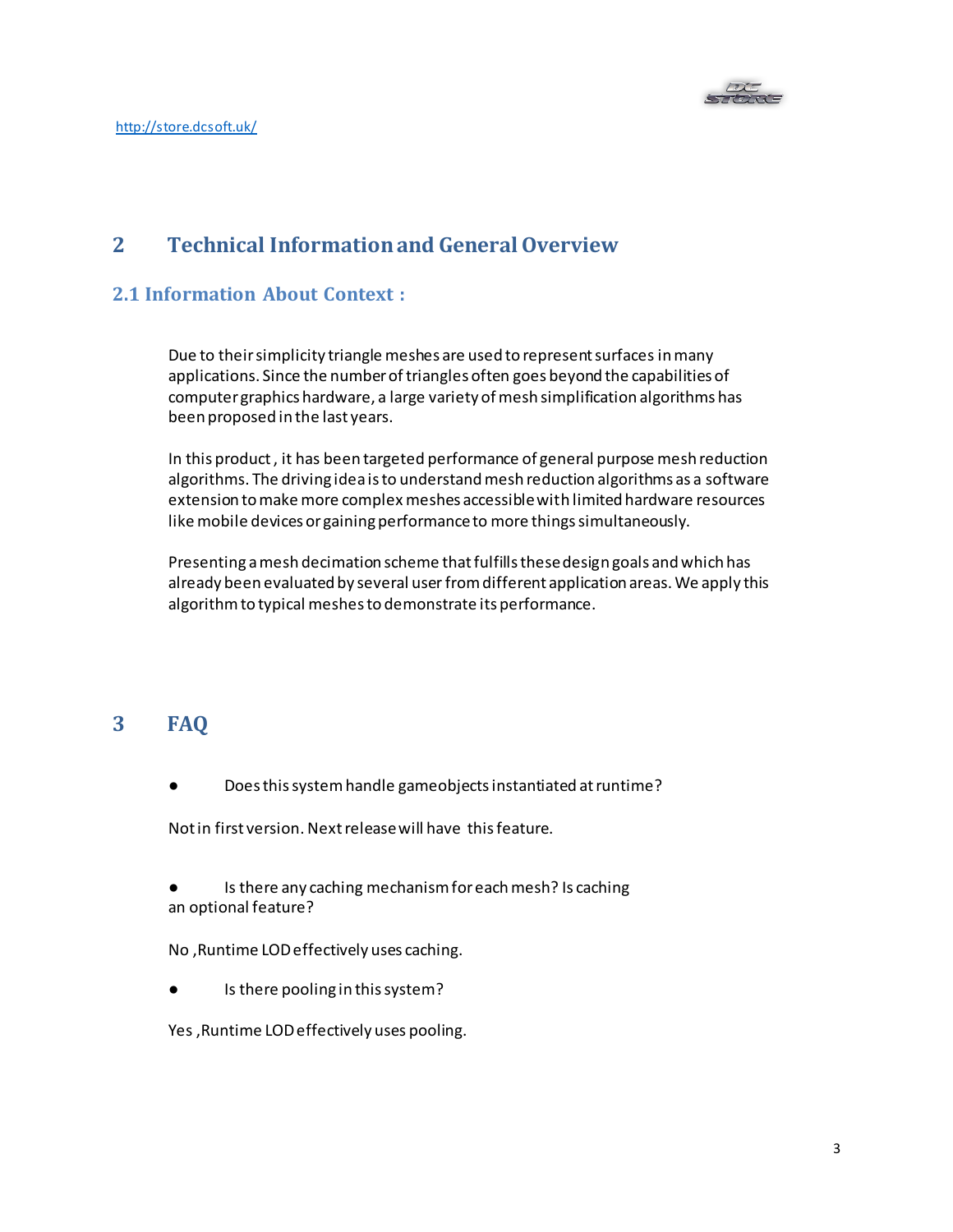

# **2 Technical Information and General Overview**

## **2.1 Information About Context :**

Due to their simplicity triangle meshes are used to represent surfaces in many applications. Since the number of triangles often goes beyond the capabilities of computer graphics hardware, a large variety of mesh simplification algorithms has been proposed in the last years.

In this product, it has been targeted performance of general purpose mesh reduction algorithms. The driving idea is to understand mesh reduction algorithms as a software extension to make more complex meshes accessible with limited hardware resources like mobile devices or gaining performance to more things simultaneously.

Presenting a mesh decimation scheme that fulfills these design goals and which has already been evaluated by several userfrom different application areas. We apply this algorithm to typical meshes to demonstrate its performance.

## **3 FAQ**

● Does this system handle gameobjectsinstantiated at runtime?

Not in first version. Next release will have this feature.

- Is there any caching mechanism for each mesh? Is caching an optional feature?
- No ,Runtime LOD effectively uses caching.
- Is there pooling in this system?

Yes ,Runtime LOD effectively uses pooling.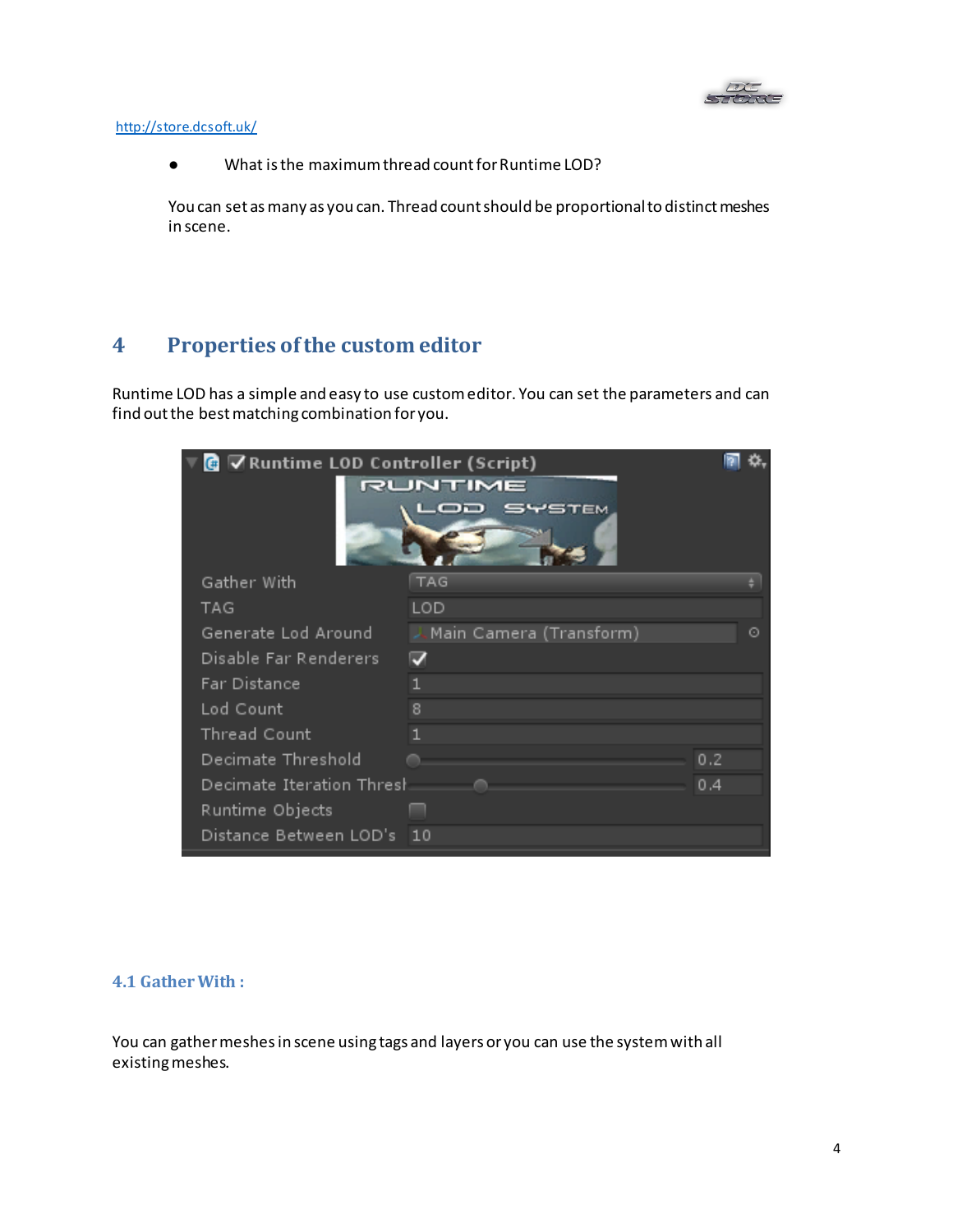

#### <http://store.dcsoft.uk/>

● What is the maximum thread count for Runtime LOD?

You can set as many as you can. Thread count should be proportional to distinct meshes in scene.

# **4 Properties of the custom editor**

Runtime LOD has a simple and easy to use custom editor. You can set the parameters and can find out the best matching combination for you.

| G ∨Runtime LOD Controller (Script) | RUNTIME<br>SYSTEM       |         |
|------------------------------------|-------------------------|---------|
| Gather With                        | <b>TAG</b>              |         |
| TAG                                | LOD                     |         |
| Generate Lod Around                | Main Camera (Transform) | $\odot$ |
| Disable Far Renderers              | J                       |         |
| Far Distance                       |                         |         |
| Lod Count                          | 8                       |         |
| Thread Count                       | 1                       |         |
| Decimate Threshold                 |                         | 0.2     |
| Decimate Iteration Thresh          |                         | 0.4     |
| Runtime Objects                    |                         |         |
| Distance Between LOD's             | 10                      |         |

#### **4.1 Gather With :**

You can gather meshes in scene using tags and layers or you can use the system with all existing meshes.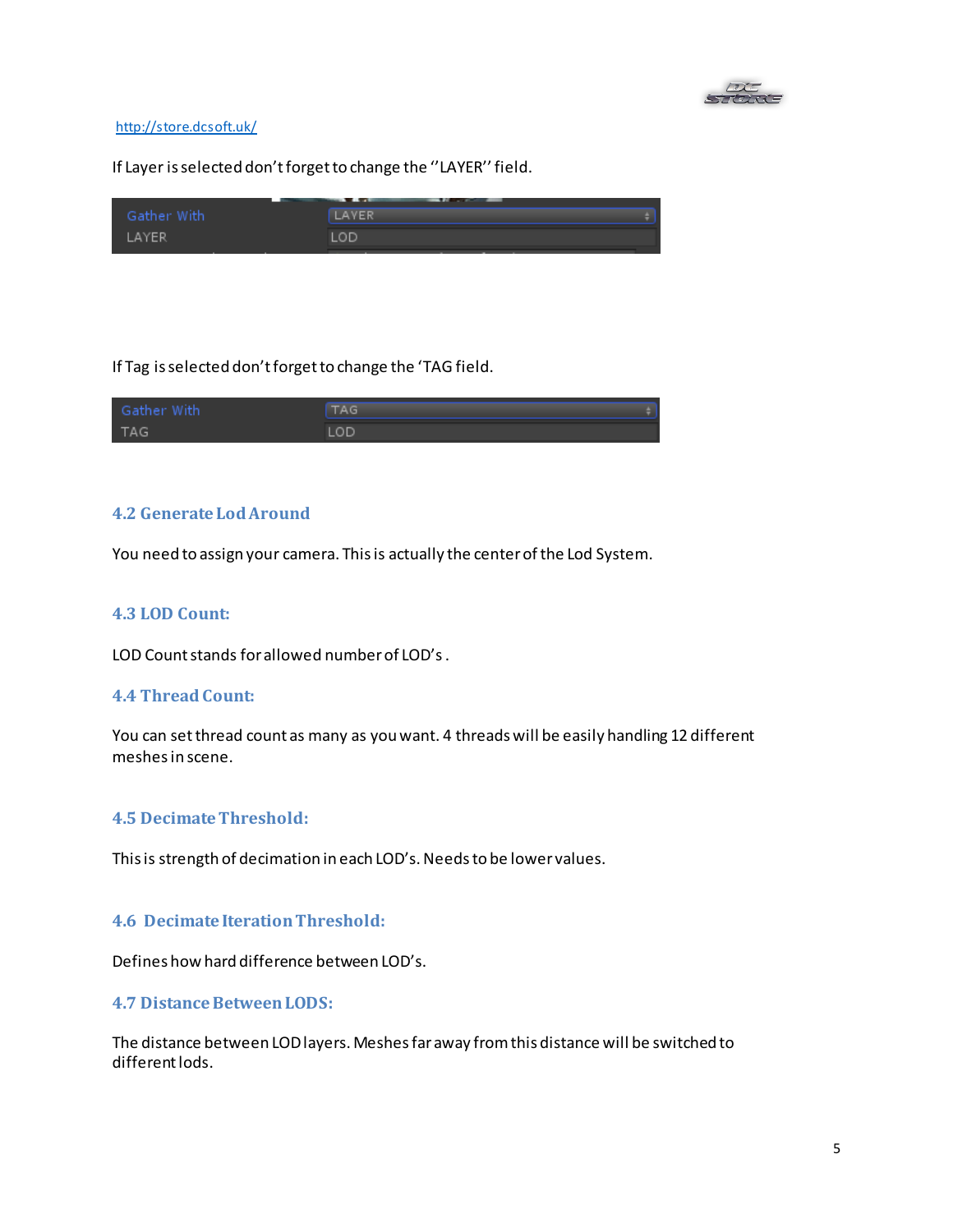

#### <http://store.dcsoft.uk/>

#### If Layer is selected don't forget to change the ''LAYER'' field.



#### If Tag is selected don't forget to change the 'TAG field.

| Gather With | <b>TAG</b> |  |
|-------------|------------|--|
| TAG.        | LOD        |  |

#### **4.2 Generate Lod Around**

You need to assign your camera. This is actually the center of the Lod System.

#### **4.3 LOD Count:**

LOD Count stands for allowed number of LOD's .

#### **4.4 ThreadCount:**

You can set thread count as many as you want. 4 threads will be easily handling 12 different meshesin scene.

#### **4.5 Decimate Threshold:**

This is strength of decimation in each LOD's. Needs to be lower values.

#### **4.6 Decimate Iteration Threshold:**

Defines how hard difference between LOD's.

#### **4.7 Distance Between LODS:**

The distance between LOD layers. Meshes far away from this distance will be switched to different lods.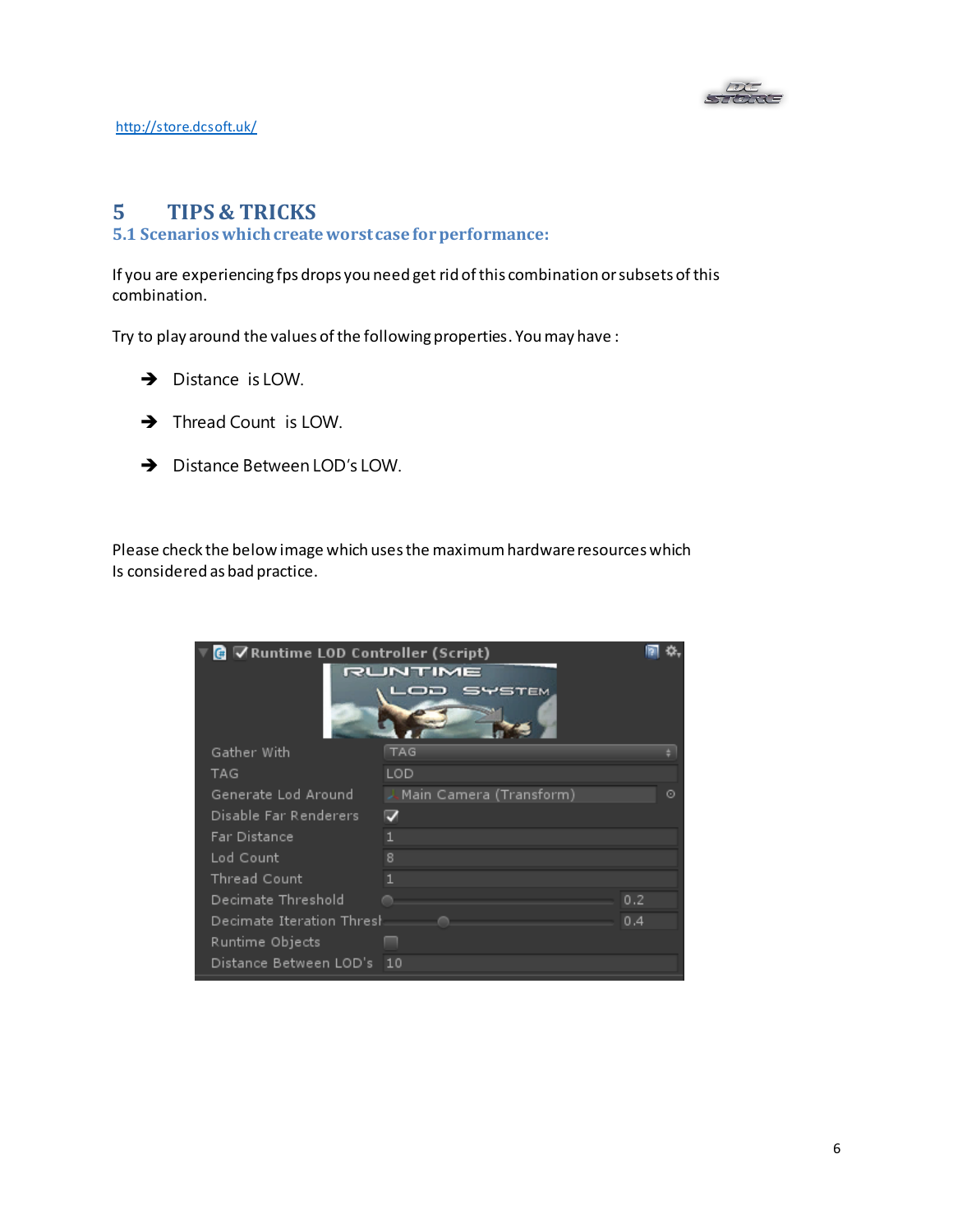

<http://store.dcsoft.uk/>

# **5 TIPS & TRICKS**

### **5.1 Scenarios which createworst case for performance:**

If you are experiencing fps drops you need get rid of this combination or subsets of this combination.

Try to play around the values of the following properties. You may have :

- ➔ Distance is LOW.
- **→** Thread Count is LOW.
- ➔ Distance Between LOD's LOW.

Please check the below image which uses the maximum hardware resources which Is considered as bad practice.

| Runtime LOD Controller (Script)<br>$\left  \mathbf{H} \right $ | <b>RUNTIME</b><br>SYSTEM<br>$  -$ |         |
|----------------------------------------------------------------|-----------------------------------|---------|
| Gather With                                                    | <b>TAG</b>                        |         |
| TAG                                                            | LOD                               |         |
| Generate Lod Around                                            | Main Camera (Transform)           | $\odot$ |
| Disable Far Renderers                                          | ⊽                                 |         |
| Far Distance                                                   | $\mathbf{1}$                      |         |
| Lod Count                                                      | 8                                 |         |
| Thread Count                                                   | 1                                 |         |
| Decimate Threshold                                             |                                   | 0.2     |
| Decimate Iteration Thresh                                      |                                   | 0.4     |
| Runtime Objects                                                |                                   |         |
| Distance Between LOD's                                         | 10                                |         |